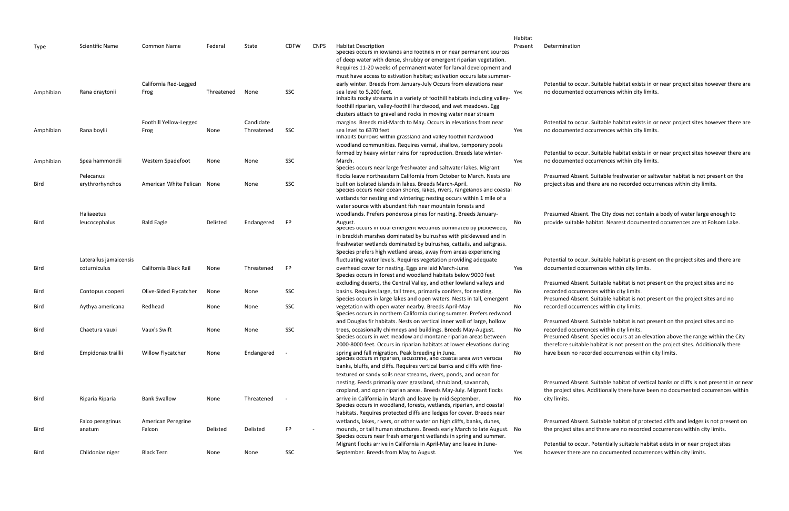|           |                        |                             |            |            |             |             |                                                                                                                                              | Habitat |                     |
|-----------|------------------------|-----------------------------|------------|------------|-------------|-------------|----------------------------------------------------------------------------------------------------------------------------------------------|---------|---------------------|
| Type      | <b>Scientific Name</b> | <b>Common Name</b>          | Federal    | State      | <b>CDFW</b> | <b>CNPS</b> | <b>Habitat Description</b><br>Species occurs in lowlands and foothills in or near permanent sources                                          | Present | Determination       |
|           |                        |                             |            |            |             |             | of deep water with dense, shrubby or emergent riparian vegetation.                                                                           |         |                     |
|           |                        |                             |            |            |             |             | Requires 11-20 weeks of permanent water for larval development and                                                                           |         |                     |
|           |                        |                             |            |            |             |             | must have access to estivation habitat; estivation occurs late summer-                                                                       |         |                     |
|           |                        | California Red-Legged       |            |            |             |             | early winter. Breeds from January-July Occurs from elevations near                                                                           |         | Potential to oo     |
| Amphibian | Rana draytonii         | Frog                        | Threatened | None       | SSC         |             | sea level to 5,200 feet.                                                                                                                     | Yes     | no documente        |
|           |                        |                             |            |            |             |             | Inhabits rocky streams in a variety of foothill habitats including valley-                                                                   |         |                     |
|           |                        |                             |            |            |             |             | foothill riparian, valley-foothill hardwood, and wet meadows. Egg                                                                            |         |                     |
|           |                        |                             |            |            |             |             | clusters attach to gravel and rocks in moving water near stream                                                                              |         |                     |
|           |                        | Foothill Yellow-Legged      |            | Candidate  |             |             | margins. Breeds mid-March to May. Occurs in elevations from near                                                                             |         | Potential to oc     |
| Amphibian | Rana boylii            | Frog                        | None       | Threatened | SSC         |             | sea level to 6370 feet                                                                                                                       | Yes     | no documente        |
|           |                        |                             |            |            |             |             | Inhabits burrows within grassland and valley foothill hardwood                                                                               |         |                     |
|           |                        |                             |            |            |             |             | woodland communities. Requires vernal, shallow, temporary pools                                                                              |         |                     |
|           |                        |                             |            |            |             |             | formed by heavy winter rains for reproduction. Breeds late winter-                                                                           |         | Potential to od     |
| Amphibian | Spea hammondii         | Western Spadefoot           | None       | None       | SSC         |             | March.                                                                                                                                       | Yes     | no documente        |
|           |                        |                             |            |            |             |             | Species occurs near large freshwater and saltwater lakes. Migrant                                                                            |         |                     |
|           | Pelecanus              |                             |            |            |             |             | flocks leave northeastern California from October to March. Nests are                                                                        |         | <b>Presumed Abs</b> |
| Bird      | erythrorhynchos        | American White Pelican None |            | None       | SSC         |             | built on isolated islands in lakes. Breeds March-April.<br>Species occurs near ocean shores, lakes, rivers, rangelands and coastal           | No      | project sites a     |
|           |                        |                             |            |            |             |             | wetlands for nesting and wintering; nesting occurs within 1 mile of a                                                                        |         |                     |
|           |                        |                             |            |            |             |             | water source with abundant fish near mountain forests and                                                                                    |         |                     |
|           | Haliaeetus             |                             |            |            |             |             | woodlands. Prefers ponderosa pines for nesting. Breeds January-                                                                              |         | <b>Presumed Abs</b> |
| Bird      | leucocephalus          | <b>Bald Eagle</b>           | Delisted   | Endangered | <b>FP</b>   |             | August.<br>species occurs in tidal emergent wetlands dominated by ріскіе weed,                                                               | No      | provide suitab      |
|           |                        |                             |            |            |             |             | in brackish marshes dominated by bulrushes with pickleweed and in                                                                            |         |                     |
|           |                        |                             |            |            |             |             | freshwater wetlands dominated by bulrushes, cattails, and saltgrass.                                                                         |         |                     |
|           |                        |                             |            |            |             |             | Species prefers high wetland areas, away from areas experiencing                                                                             |         |                     |
|           | Laterallus jamaicensis |                             |            |            |             |             | fluctuating water levels. Requires vegetation providing adequate                                                                             |         | Potential to oo     |
| Bird      | coturniculus           | California Black Rail       | None       | Threatened | <b>FP</b>   |             | overhead cover for nesting. Eggs are laid March-June.                                                                                        | Yes     | documented c        |
|           |                        |                             |            |            |             |             | Species occurs in forest and woodland habitats below 9000 feet                                                                               |         |                     |
|           |                        |                             |            |            |             |             | excluding deserts, the Central Valley, and other lowland valleys and                                                                         |         | <b>Presumed Abs</b> |
| Bird      | Contopus cooperi       | Olive-Sided Flycatcher      | None       | None       | SSC         |             | basins. Requires large, tall trees, primarily conifers, for nesting.                                                                         | No      | recorded occu       |
|           |                        |                             |            |            |             |             | Species occurs in large lakes and open waters. Nests in tall, emergent                                                                       |         | <b>Presumed Abs</b> |
| Bird      | Aythya americana       | Redhead                     | None       | None       | SSC         |             | vegetation with open water nearby. Breeds April-May                                                                                          | No      | recorded occu       |
|           |                        |                             |            |            |             |             | Species occurs in northern California during summer. Prefers redwood                                                                         |         |                     |
|           |                        |                             |            |            |             |             | and Douglas fir habitats. Nests on vertical inner wall of large, hollow                                                                      |         | <b>Presumed Abs</b> |
| Bird      | Chaetura vauxi         | Vaux's Swift                | None       | None       | <b>SSC</b>  |             | trees, occasionally chimneys and buildings. Breeds May-August.                                                                               | No      | recorded occu       |
|           |                        |                             |            |            |             |             | Species occurs in wet meadow and montane riparian areas between                                                                              |         | <b>Presumed Abs</b> |
|           |                        |                             |            |            |             |             | 2000-8000 feet. Occurs in riparian habitats at lower elevations during                                                                       |         | therefore suita     |
| Bird      | Empidonax traillii     | Willow Flycatcher           | None       | Endangered |             |             | spring and fall migration. Peak breeding in June.<br>Species occurs in riparian, lacustrine, and coastal area with vertical                  | No      | have been no        |
|           |                        |                             |            |            |             |             | banks, bluffs, and cliffs. Requires vertical banks and cliffs with fine-                                                                     |         |                     |
|           |                        |                             |            |            |             |             | textured or sandy soils near streams, rivers, ponds, and ocean for                                                                           |         |                     |
|           |                        |                             |            |            |             |             | nesting. Feeds primarily over grassland, shrubland, savannah,                                                                                |         | <b>Presumed Abs</b> |
|           |                        |                             |            |            |             |             | cropland, and open riparian areas. Breeds May-July. Migrant flocks                                                                           |         | the project site    |
| Bird      | Riparia Riparia        | <b>Bank Swallow</b>         | None       | Threatened |             |             | arrive in California in March and leave by mid-September.                                                                                    | No      | city limits.        |
|           |                        |                             |            |            |             |             | Species occurs in woodland, forests, wetlands, riparian, and coastal                                                                         |         |                     |
|           |                        |                             |            |            |             |             | habitats. Requires protected cliffs and ledges for cover. Breeds near                                                                        |         |                     |
|           | Falco peregrinus       | American Peregrine          |            |            |             |             | wetlands, lakes, rivers, or other water on high cliffs, banks, dunes,                                                                        |         | <b>Presumed Abs</b> |
| Bird      | anatum                 | Falcon                      | Delisted   | Delisted   | <b>FP</b>   |             | mounds, or tall human structures. Breeds early March to late August. No<br>Species occurs near fresh emergent wetlands in spring and summer. |         | the project site    |
|           |                        |                             |            |            |             |             | Migrant flocks arrive in California in April-May and leave in June-                                                                          |         | Potential to oo     |
| Bird      |                        | <b>Black Tern</b>           |            | None       | SSC         |             | September. Breeds from May to August.                                                                                                        |         | however there       |
|           | Chlidonias niger       |                             | None       |            |             |             |                                                                                                                                              | Yes     |                     |

Poteur. Suitable habitat exists in or near project sites however there are ed occurrences within city limits.

Potential Suitable habitat exists in or near project sites however there are ed occurrences within city limits.

occur. Suitable habitat exists in or near project sites however there are ed occurrences within city limits.

sent. Suitable freshwater or saltwater habitat is not present on the and there are no recorded occurrences within city limits.

sent. The City does not contain a body of water large enough to ble habitat. Nearest documented occurrences are at Folsom Lake.

Poteur. Suitable habitat is present on the project sites and there are occurrences within city limits.

sent. Suitable habitat is not present on the project sites and no urrences within city limits.

sent. Suitable habitat is not present on the project sites and no urrences within city limits.

sent. Suitable habitat is not present on the project sites and no urrences within city limits.

sent. Species occurs at an elevation above the range within the City table habitat is not present on the project sites. Additionally there recorded occurrences within city limits.

sent. Suitable habitat of vertical banks or cliffs is not present in or near tes. Additionally there have been no documented occurrences within

sent. Suitable habitat of protected cliffs and ledges is not present on tes and there are no recorded occurrences within city limits.

occur. Potentially suitable habitat exists in or near project sites re are no documented occurrences within city limits.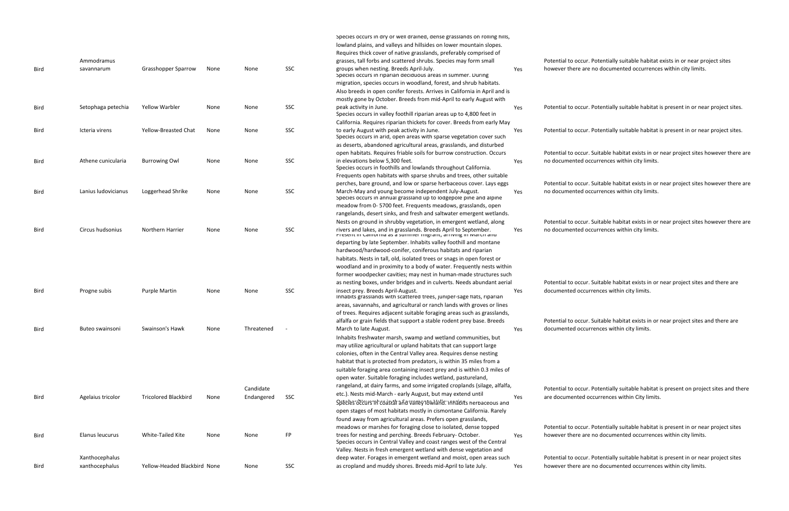|             |                     |                              |      |            |     | Species occurs in dry or well drained, dense grasslands on rolling hills,<br>lowland plains, and valleys and hillsides on lower mountain slopes.<br>Requires thick cover of native grasslands, preferably comprised of |     |                |
|-------------|---------------------|------------------------------|------|------------|-----|------------------------------------------------------------------------------------------------------------------------------------------------------------------------------------------------------------------------|-----|----------------|
|             | Ammodramus          |                              |      |            |     | grasses, tall forbs and scattered shrubs. Species may form small                                                                                                                                                       |     | Potential to o |
| Bird        | savannarum          | <b>Grasshopper Sparrow</b>   | None | None       | SSC | groups when nesting. Breeds April-July.<br>Species occurs in riparian deciduous areas in summer. During                                                                                                                | Yes | however ther   |
|             |                     |                              |      |            |     | migration, species occurs in woodland, forest, and shrub habitats.                                                                                                                                                     |     |                |
|             |                     |                              |      |            |     | Also breeds in open conifer forests. Arrives in California in April and is                                                                                                                                             |     |                |
|             |                     |                              |      |            |     | mostly gone by October. Breeds from mid-April to early August with                                                                                                                                                     |     |                |
| Bird        | Setophaga petechia  | <b>Yellow Warbler</b>        | None | None       | SSC | peak activity in June.                                                                                                                                                                                                 | Yes | Potential to o |
|             |                     |                              |      |            |     | Species occurs in valley foothill riparian areas up to 4,800 feet in                                                                                                                                                   |     |                |
|             |                     |                              |      |            |     | California. Requires riparian thickets for cover. Breeds from early May                                                                                                                                                |     |                |
| Bird        | Icteria virens      | Yellow-Breasted Chat         | None | None       | SSC | to early August with peak activity in June.<br>Species occurs in arid, open areas with sparse vegetation cover such                                                                                                    | Yes | Potential to o |
|             |                     |                              |      |            |     | as deserts, abandoned agricultural areas, grasslands, and disturbed                                                                                                                                                    |     |                |
|             |                     |                              |      |            |     | open habitats. Requires friable soils for burrow construction. Occurs                                                                                                                                                  |     | Potential to o |
| <b>Bird</b> | Athene cunicularia  | <b>Burrowing Owl</b>         | None | None       | SSC | in elevations below 5,300 feet.<br>Species occurs in foothills and lowlands throughout California.                                                                                                                     | Yes | no document    |
|             |                     |                              |      |            |     | Frequents open habitats with sparse shrubs and trees, other suitable                                                                                                                                                   |     |                |
|             |                     |                              |      |            |     | perches, bare ground, and low or sparse herbaceous cover. Lays eggs                                                                                                                                                    |     | Potential to o |
| Bird        | Lanius ludovicianus | Loggerhead Shrike            | None | None       | SSC | March-May and young become independent July-August.<br>Species occurs in annual grassland up to lodgepole pine and alpine                                                                                              | Yes | no document    |
|             |                     |                              |      |            |     | meadow from 0-5700 feet. Frequents meadows, grasslands, open                                                                                                                                                           |     |                |
|             |                     |                              |      |            |     | rangelands, desert sinks, and fresh and saltwater emergent wetlands.                                                                                                                                                   |     |                |
|             |                     |                              |      |            |     | Nests on ground in shrubby vegetation, in emergent wetland, along                                                                                                                                                      |     | Potential to o |
| Bird        | Circus hudsonius    | Northern Harrier             | None | None       | SSC | rivers and lakes, and in grasslands. Breeds April to September.<br>Fresent in Camorina as a summer inigrant, arriving in iviarch and                                                                                   | Yes | no document    |
|             |                     |                              |      |            |     | departing by late September. Inhabits valley foothill and montane                                                                                                                                                      |     |                |
|             |                     |                              |      |            |     | hardwood/hardwood-conifer, coniferous habitats and riparian                                                                                                                                                            |     |                |
|             |                     |                              |      |            |     | habitats. Nests in tall, old, isolated trees or snags in open forest or                                                                                                                                                |     |                |
|             |                     |                              |      |            |     | woodland and in proximity to a body of water. Frequently nests within                                                                                                                                                  |     |                |
|             |                     |                              |      |            |     | former woodpecker cavities; may nest in human-made structures such                                                                                                                                                     |     |                |
|             |                     |                              |      |            |     | as nesting boxes, under bridges and in culverts. Needs abundant aerial                                                                                                                                                 |     | Potential to o |
| Bird        | Progne subis        | <b>Purple Martin</b>         | None | None       | SSC | insect prey. Breeds April-August.<br>Inhabits grasslands with scattered trees, juniper-sage flats, riparian                                                                                                            | Yes | documented     |
|             |                     |                              |      |            |     | areas, savannahs, and agricultural or ranch lands with groves or lines                                                                                                                                                 |     |                |
|             |                     |                              |      |            |     | of trees. Requires adjacent suitable foraging areas such as grasslands,                                                                                                                                                |     |                |
|             |                     |                              |      |            |     | alfalfa or grain fields that support a stable rodent prey base. Breeds                                                                                                                                                 |     | Potential to o |
| Bird        | Buteo swainsoni     | Swainson's Hawk              | None | Threatened |     | March to late August.                                                                                                                                                                                                  | Yes | documented     |
|             |                     |                              |      |            |     | Inhabits freshwater marsh, swamp and wetland communities, but                                                                                                                                                          |     |                |
|             |                     |                              |      |            |     | may utilize agricultural or upland habitats that can support large                                                                                                                                                     |     |                |
|             |                     |                              |      |            |     | colonies, often in the Central Valley area. Requires dense nesting                                                                                                                                                     |     |                |
|             |                     |                              |      |            |     | habitat that is protected from predators, is within 35 miles from a                                                                                                                                                    |     |                |
|             |                     |                              |      |            |     | suitable foraging area containing insect prey and is within 0.3 miles of                                                                                                                                               |     |                |
|             |                     |                              |      |            |     | open water. Suitable foraging includes wetland, pastureland,                                                                                                                                                           |     |                |
|             |                     |                              |      | Candidate  |     | rangeland, at dairy farms, and some irrigated croplands (silage, alfalfa,                                                                                                                                              |     | Potential to o |
| Bird        | Agelaius tricolor   | <b>Tricolored Blackbird</b>  | None | Endangered | SSC | etc.). Nests mid-March - early August, but may extend until                                                                                                                                                            | Yes | are document   |
|             |                     |                              |      |            |     | Spècies occurs in coastal and valley lowland. Inhabits nerbaceous and                                                                                                                                                  |     |                |
|             |                     |                              |      |            |     | open stages of most habitats mostly in cismontane California. Rarely                                                                                                                                                   |     |                |
|             |                     |                              |      |            |     | found away from agricultural areas. Prefers open grasslands,                                                                                                                                                           |     |                |
|             |                     |                              |      |            |     | meadows or marshes for foraging close to isolated, dense topped                                                                                                                                                        |     | Potential to o |
| Bird        | Elanus leucurus     | White-Tailed Kite            | None | None       | FP  | trees for nesting and perching. Breeds February-October.<br>Species occurs in Central Valley and coast ranges west of the Central                                                                                      | Yes | however ther   |
|             |                     |                              |      |            |     | Valley. Nests in fresh emergent wetland with dense vegetation and                                                                                                                                                      |     |                |
|             | Xanthocephalus      |                              |      |            |     | deep water. Forages in emergent wetland and moist, open areas such                                                                                                                                                     |     | Potential to o |
| Bird        | xanthocephalus      | Yellow-Headed Blackbird None |      | None       | SSC | as cropland and muddy shores. Breeds mid-April to late July.                                                                                                                                                           | Yes | however ther   |

Potentially suitable habitat exists in or near project sites re are no documented occurrences within city limits.

pccur. Potentially suitable habitat is present in or near project sites.

occur. Potentially suitable habitat is present in or near project sites.

occur. Suitable habitat exists in or near project sites however there are ed occurrences within city limits.

Poteur. Suitable habitat exists in or near project sites however there are ed occurrences within city limits.

Poteur. Suitable habitat exists in or near project sites however there are ed occurrences within city limits.

Poteur. Suitable habitat exists in or near project sites and there are occurrences within city limits.

Poteur. Suitable habitat exists in or near project sites and there are occurrences within city limits.

Potentially suitable habitat is present on project sites and there ted occurrences within City limits.

Potentially suitable habitat is present in or near project sites re are no documented occurrences within city limits.

pccur. Potentially suitable habitat is present in or near project sites re are no documented occurrences within city limits.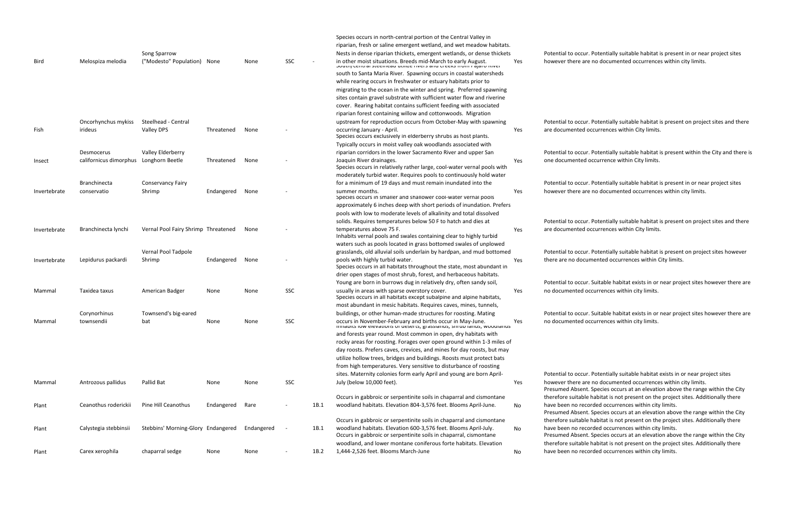|              |                                        |                                     |            |            |     |      | Species occurs in north-central portion of the Central Valley in                                                                                                                                                                                                                               |     |                           |
|--------------|----------------------------------------|-------------------------------------|------------|------------|-----|------|------------------------------------------------------------------------------------------------------------------------------------------------------------------------------------------------------------------------------------------------------------------------------------------------|-----|---------------------------|
|              |                                        |                                     |            |            |     |      | riparian, fresh or saline emergent wetland, and wet meadow habitats.                                                                                                                                                                                                                           |     |                           |
|              |                                        | Song Sparrow                        |            |            |     |      | Nests in dense riparian thickets, emergent wetlands, or dense thickets                                                                                                                                                                                                                         |     | Potential to              |
| <b>Bird</b>  | Melospiza melodia                      | ("Modesto" Population) None         |            | None       | SSC |      | in other moist situations. Breeds mid-March to early August.<br>Journ, central steemeau utmze nivers and creeks nonningaro niver                                                                                                                                                               | Yes | however the               |
|              |                                        |                                     |            |            |     |      | south to Santa Maria River. Spawning occurs in coastal watersheds                                                                                                                                                                                                                              |     |                           |
|              |                                        |                                     |            |            |     |      | while rearing occurs in freshwater or estuary habitats prior to                                                                                                                                                                                                                                |     |                           |
|              |                                        |                                     |            |            |     |      | migrating to the ocean in the winter and spring. Preferred spawning                                                                                                                                                                                                                            |     |                           |
|              |                                        |                                     |            |            |     |      | sites contain gravel substrate with sufficient water flow and riverine                                                                                                                                                                                                                         |     |                           |
|              |                                        |                                     |            |            |     |      | cover. Rearing habitat contains sufficient feeding with associated                                                                                                                                                                                                                             |     |                           |
|              |                                        |                                     |            |            |     |      | riparian forest containing willow and cottonwoods. Migration                                                                                                                                                                                                                                   |     |                           |
|              | Oncorhynchus mykiss                    | Steelhead - Central                 |            |            |     |      | upstream for reproduction occurs from October-May with spawning                                                                                                                                                                                                                                |     | Potential to              |
| Fish         | irideus                                | Valley DPS                          | Threatened | None       |     |      | occurring January - April.<br>Species occurs exclusively in elderberry shrubs as host plants.                                                                                                                                                                                                  | Yes | are docume                |
|              |                                        |                                     |            |            |     |      | Typically occurs in moist valley oak woodlands associated with                                                                                                                                                                                                                                 |     |                           |
|              | Desmocerus                             | Valley Elderberry                   |            |            |     |      | riparian corridors in the lower Sacramento River and upper San                                                                                                                                                                                                                                 |     | Potential to              |
| Insect       | californicus dimorphus Longhorn Beetle |                                     | Threatened | None       |     |      | Joaquin River drainages.<br>Species occurs in relatively rather large, cool-water vernal pools with                                                                                                                                                                                            | Yes | one docume                |
|              |                                        |                                     |            |            |     |      | moderately turbid water. Requires pools to continuously hold water                                                                                                                                                                                                                             |     |                           |
|              | <b>Branchinecta</b>                    | <b>Conservancy Fairy</b>            |            |            |     |      | for a minimum of 19 days and must remain inundated into the                                                                                                                                                                                                                                    |     | Potential to              |
| Invertebrate | conservatio                            | Shrimp                              | Endangered | None       |     |      | summer months.<br>Species occurs in smaller and shallower cool-water vernal pools                                                                                                                                                                                                              | Yes | however the               |
|              |                                        |                                     |            |            |     |      | approximately 6 inches deep with short periods of inundation. Prefers                                                                                                                                                                                                                          |     |                           |
|              |                                        |                                     |            |            |     |      | pools with low to moderate levels of alkalinity and total dissolved                                                                                                                                                                                                                            |     |                           |
|              |                                        |                                     |            |            |     |      | solids. Requires temperatures below 50 F to hatch and dies at                                                                                                                                                                                                                                  |     | Potential to              |
| Invertebrate | Branchinecta lynchi                    | Vernal Pool Fairy Shrimp Threatened |            | None       |     |      | temperatures above 75 F.<br>Inhabits vernal pools and swales containing clear to highly turbid                                                                                                                                                                                                 | Yes | are docume                |
|              |                                        |                                     |            |            |     |      | waters such as pools located in grass bottomed swales of unplowed                                                                                                                                                                                                                              |     |                           |
|              |                                        | Vernal Pool Tadpole                 |            |            |     |      | grasslands, old alluvial soils underlain by hardpan, and mud bottomed                                                                                                                                                                                                                          |     | Potential to              |
| Invertebrate | Lepidurus packardi                     | Shrimp                              | Endangered | None       |     |      | pools with highly turbid water.<br>Species occurs in all habitats throughout the state, most abundant in                                                                                                                                                                                       | Yes | there are no              |
|              |                                        |                                     |            |            |     |      | drier open stages of most shrub, forest, and herbaceous habitats.                                                                                                                                                                                                                              |     |                           |
|              |                                        |                                     |            |            |     |      | Young are born in burrows dug in relatively dry, often sandy soil,                                                                                                                                                                                                                             |     | Potential to              |
| Mammal       | Taxidea taxus                          | American Badger                     | None       | None       | SSC |      | usually in areas with sparse overstory cover.<br>Species occurs in all habitats except subalpine and alpine habitats,                                                                                                                                                                          | Yes | no documer                |
|              |                                        |                                     |            |            |     |      | most abundant in mesic habitats. Requires caves, mines, tunnels,                                                                                                                                                                                                                               |     |                           |
|              | Corynorhinus                           | Townsend's big-eared                |            |            |     |      | buildings, or other human-made structures for roosting. Mating                                                                                                                                                                                                                                 |     | Potential to              |
| Mammal       | townsendii                             | bat                                 | None       | None       | SSC |      | occurs in November-February and births occur in May-June.<br>$\frac{1}{2}$ introduce to the control of the sectecy of the section of the section of the section of the section of the section of the section of the section of the section of the section of the section of the section of the | Yes | no documer                |
|              |                                        |                                     |            |            |     |      | and forests year round. Most common in open, dry habitats with                                                                                                                                                                                                                                 |     |                           |
|              |                                        |                                     |            |            |     |      | rocky areas for roosting. Forages over open ground within 1-3 miles of                                                                                                                                                                                                                         |     |                           |
|              |                                        |                                     |            |            |     |      | day roosts. Prefers caves, crevices, and mines for day roosts, but may                                                                                                                                                                                                                         |     |                           |
|              |                                        |                                     |            |            |     |      | utilize hollow trees, bridges and buildings. Roosts must protect bats                                                                                                                                                                                                                          |     |                           |
|              |                                        |                                     |            |            |     |      | from high temperatures. Very sensitive to disturbance of roosting                                                                                                                                                                                                                              |     |                           |
|              |                                        |                                     |            |            |     |      | sites. Maternity colonies form early April and young are born April-                                                                                                                                                                                                                           |     | Potential to              |
| Mammal       | Antrozous pallidus                     | Pallid Bat                          | None       | None       | SSC |      | July (below 10,000 feet).                                                                                                                                                                                                                                                                      | Yes | however the<br>Presumed A |
|              |                                        |                                     |            |            |     |      | Occurs in gabbroic or serpentinite soils in chaparral and cismontane                                                                                                                                                                                                                           |     | therefore su              |
| Plant        | Ceanothus roderickii                   | Pine Hill Ceanothus                 | Endangered | Rare       |     | 1B.1 | woodland habitats. Elevation 804-3,576 feet. Blooms April-June.                                                                                                                                                                                                                                | No  | have been n<br>Presumed A |
|              |                                        |                                     |            |            |     |      | Occurs in gabbroic or serpentinite soils in chaparral and cismontane                                                                                                                                                                                                                           |     | therefore su              |
| Plant        | Calystegia stebbinsii                  | Stebbins' Morning-Glory Endangered  |            | Endangered |     | 1B.1 | woodland habitats. Elevation 600-3,576 feet. Blooms April-July.<br>Occurs in gabbroic or serpentinite soils in chaparral, cismontane                                                                                                                                                           | No  | have been n<br>Presumed A |
|              |                                        |                                     |            |            |     |      | woodland, and lower montane coniferous forte habitats. Elevation                                                                                                                                                                                                                               |     | therefore su              |
| Plant        | Carex xerophila                        | chaparral sedge                     | None       | None       |     | 1B.2 | 1,444-2,526 feet. Blooms March-June                                                                                                                                                                                                                                                            | No  | have been n               |

occur. Potentially suitable habitat is present in or near project sites here are no documented occurrences within city limits.

occur. Potentially suitable habitat is present on project sites and there ented occurrences within City limits.

o occur. Potentially suitable habitat is present within the City and there is ented occurrence within City limits.

occur. Potentially suitable habitat is present in or near project sites here are no documented occurrences within city limits.

retation potentially suitable habitat is present on project sites and there ented occurrences within City limits.

occur. Potentially suitable habitat is present on project sites however documented occurrences within City limits.

occur. Suitable habitat exists in or near project sites however there are nted occurrences within city limits.

occur. Suitable habitat exists in or near project sites however there are nted occurrences within city limits.

occur. Potentially suitable habitat exists in or near project sites here are no documented occurrences within city limits.

Absent. Species occurs at an elevation above the range within the City uitable habitat is not present on the project sites. Additionally there no recorded occurrences within city limits.

Absent. Species occurs at an elevation above the range within the City uitable habitat is not present on the project sites. Additionally there no recorded occurrences within city limits.

Absent. Species occurs at an elevation above the range within the City uitable habitat is not present on the project sites. Additionally there no recorded occurrences within city limits.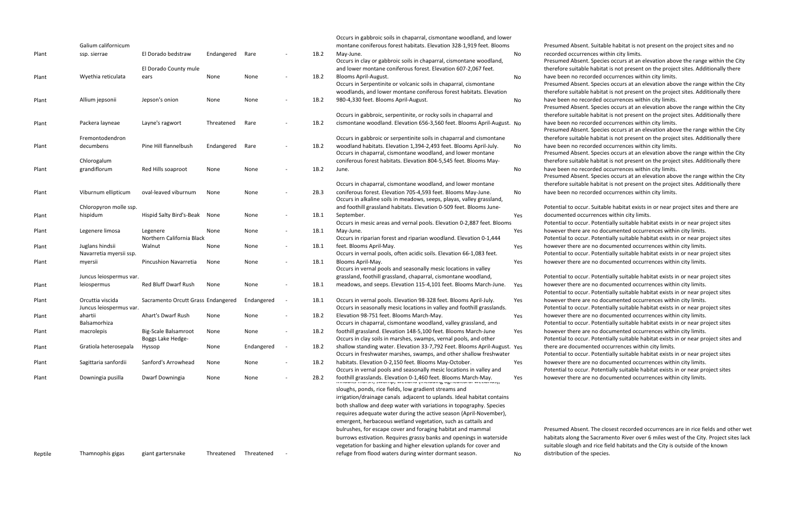Occurs in gabbroic soils in chaparral, cismontane woodland, and lower

Presumed Absent. Suitable habitat is not present on the project sites and no recorded occurrences within city limits.

Presumed Absent. Species occurs at an elevation above the range within the City therefore suitable habitat is not present on the project sites. Additionally there have been no recorded occurrences within city limits.

Presumed Absent. Species occurs at an elevation above the range within the City therefore suitable habitat is not present on the project sites. Additionally there have been no recorded occurrences within city limits.

Presumed Absent. Species occurs at an elevation above the range within the City therefore suitable habitat is not present on the project sites. Additionally there have been no recorded occurrences within city limits.

Presumed Absent. Species occurs at an elevation above the range within the City therefore suitable habitat is not present on the project sites. Additionally there have been no recorded occurrences within city limits.

Presumed Absent. Species occurs at an elevation above the range within the City therefore suitable habitat is not present on the project sites. Additionally there have been no recorded occurrences within city limits.

Presumed Absent. Species occurs at an elevation above the range within the City therefore suitable habitat is not present on the project sites. Additionally there have been no recorded occurrences within city limits.

|       | Galium californicum     |                                    |            |            |      | montane coniferous forest habitats. Elevation 328-1,919 feet. Blooms      |     |
|-------|-------------------------|------------------------------------|------------|------------|------|---------------------------------------------------------------------------|-----|
| Plant | ssp. sierrae            | El Dorado bedstraw                 | Endangered | Rare       | 1B.2 | May-June.                                                                 | No  |
|       |                         |                                    |            |            |      | Occurs in clay or gabbroic soils in chaparral, cismontane woodland,       |     |
|       |                         | El Dorado County mule              |            |            |      | and lower montane coniferous forest. Elevation 607-2,067 feet.            |     |
| Plant | Wyethia reticulata      | ears                               | None       | None       | 1B.2 | Blooms April-August.                                                      | No  |
|       |                         |                                    |            |            |      | Occurs in Serpentinite or volcanic soils in chaparral, cismontane         |     |
|       |                         |                                    |            |            |      | woodlands, and lower montane coniferous forest habitats. Elevation        |     |
| Plant | Allium jepsonii         | Jepson's onion                     | None       | None       | 1B.2 | 980-4,330 feet. Blooms April-August.                                      | No  |
|       |                         |                                    |            |            |      | Occurs in gabbroic, serpentinite, or rocky soils in chaparral and         |     |
| Plant | Packera layneae         | Layne's ragwort                    | Threatened | Rare       | 1B.2 | cismontane woodland. Elevation 656-3,560 feet. Blooms April-August. No    |     |
|       | Fremontodendron         |                                    |            |            |      | Occurs in gabbroic or serpentinite soils in chaparral and cismontane      |     |
| Plant | decumbens               | Pine Hill flannelbush              | Endangered | Rare       | 1B.2 | woodland habitats. Elevation 1,394-2,493 feet. Blooms April-July.         | No  |
|       |                         |                                    |            |            |      | Occurs in chaparral, cismontane woodland, and lower montane               |     |
|       | Chlorogalum             |                                    |            |            |      | coniferous forest habitats. Elevation 804-5,545 feet. Blooms May-         |     |
| Plant | grandiflorum            | Red Hills soaproot                 | None       | None       | 1B.2 | June.                                                                     | No  |
|       |                         |                                    |            |            |      |                                                                           |     |
|       |                         |                                    |            |            |      | Occurs in chaparral, cismontane woodland, and lower montane               |     |
| Plant | Viburnum ellipticum     | oval-leaved viburnum               | None       | None       | 2B.3 | coniferous forest. Elevation 705-4,593 feet. Blooms May-June.             | No  |
|       |                         |                                    |            |            |      | Occurs in alkaline soils in meadows, seeps, playas, valley grassland,     |     |
|       | Chloropyron molle ssp.  |                                    |            |            |      | and foothill grassland habitats. Elevation 0-509 feet. Blooms June-       |     |
| Plant | hispidum                | Hispid Salty Bird's-Beak           | None       | None       | 1B.1 | September.                                                                | Yes |
|       |                         |                                    |            |            |      | Occurs in mesic areas and vernal pools. Elevation 0-2,887 feet. Blooms    |     |
| Plant | Legenere limosa         | Legenere                           | None       | None       | 1B.1 | May-June.                                                                 | Yes |
|       |                         | Northern California Black          |            |            |      | Occurs in riparian forest and riparian woodland. Elevation 0-1,444        |     |
| Plant | Juglans hindsii         | Walnut                             | None       | None       | 1B.1 | feet. Blooms April-May.                                                   | Yes |
|       | Navarretia myersii ssp. |                                    |            |            |      | Occurs in vernal pools, often acidic soils. Elevation 66-1,083 feet.      |     |
| Plant | myersii                 | Pincushion Navarretia              | None       | None       | 1B.1 | Blooms April-May.                                                         | Yes |
|       |                         |                                    |            |            |      | Occurs in vernal pools and seasonally mesic locations in valley           |     |
|       | Juncus leiospermus var. |                                    |            |            |      | grassland, foothill grassland, chaparral, cismontane woodland,            |     |
| Plant | leiospermus             | Red Bluff Dwarf Rush               | None       | None       | 1B.1 | meadows, and seeps. Elevation 115-4,101 feet. Blooms March-June.          | Yes |
| Plant | Orcuttia viscida        | Sacramento Orcutt Grass Endangered |            | Endangered | 1B.1 | Occurs in vernal pools. Elevation 98-328 feet. Blooms April-July.         | Yes |
|       | Juncus leiospermus var. |                                    |            |            |      | Occurs in seasonally mesic locations in valley and foothill grasslands.   |     |
| Plant | ahartii                 | <b>Ahart's Dwarf Rush</b>          | None       | None       | 1B.2 | Elevation 98-751 feet. Blooms March-May.                                  | Yes |
|       | Balsamorhiza            |                                    |            |            |      | Occurs in chaparral, cismontane woodland, valley grassland, and           |     |
| Plant | macrolepis              | Big-Scale Balsamroot               | None       | None       | 1B.2 | foothill grassland. Elevation 148-5,100 feet. Blooms March-June           | Yes |
|       |                         | Boggs Lake Hedge-                  |            |            |      | Occurs in clay soils in marshes, swamps, vernal pools, and other          |     |
| Plant | Gratiola heterosepala   | Hyssop                             | None       | Endangered | 1B.2 | shallow standing water. Elevation 33-7,792 Feet. Blooms April-August. Yes |     |
|       |                         |                                    |            |            |      | Occurs in freshwater marshes, swamps, and other shallow freshwater        |     |
| Plant | Sagittaria sanfordii    | Sanford's Arrowhead                | None       | None       | 1B.2 | habitats. Elevation 0-2,150 feet. Blooms May-October.                     | Yes |
|       |                         |                                    |            |            |      | Occurs in vernal pools and seasonally mesic locations in valley and       |     |
| Plant | Downingia pusilla       | Dwarf Downingia                    | None       | None       | 2B.2 | foothill grasslands. Elevation 0-1,460 feet. Blooms March-May.            | Yes |
|       |                         |                                    |            |            |      | sloughs, ponds, rice fields, low gradient streams and                     |     |
|       |                         |                                    |            |            |      | irrigation/drainage canals adjacent to uplands. Ideal habitat contains    |     |
|       |                         |                                    |            |            |      | both shallow and deep water with variations in topography. Species        |     |
|       |                         |                                    |            |            |      | requires adequate water during the active season (April-November),        |     |
|       |                         |                                    |            |            |      |                                                                           |     |

Potential to occur. Suitable habitat exists in or near project sites and there are documented occurrences within city limits.

Potential to occur. Potentially suitable habitat exists in or near project sites however there are no documented occurrences within city limits.

| .2             | montane coniferous forest habitats. Elevation 328-1,919 feet. Blooms<br>May-June.<br>Occurs in clay or gabbroic soils in chaparral, cismontane woodland,                                                                                                                     | No  |
|----------------|------------------------------------------------------------------------------------------------------------------------------------------------------------------------------------------------------------------------------------------------------------------------------|-----|
| .2             | and lower montane coniferous forest. Elevation 607-2,067 feet.<br>Blooms April-August.<br>Occurs in Serpentinite or volcanic soils in chaparral, cismontane                                                                                                                  | No  |
|                | woodlands, and lower montane coniferous forest habitats. Elevation                                                                                                                                                                                                           |     |
| .2             | 980-4,330 feet. Blooms April-August.                                                                                                                                                                                                                                         | No  |
| .2             | Occurs in gabbroic, serpentinite, or rocky soils in chaparral and<br>cismontane woodland. Elevation 656-3,560 feet. Blooms April-August. No                                                                                                                                  |     |
| .2             | Occurs in gabbroic or serpentinite soils in chaparral and cismontane<br>woodland habitats. Elevation 1,394-2,493 feet. Blooms April-July.<br>Occurs in chaparral, cismontane woodland, and lower montane                                                                     | No  |
| .2             | coniferous forest habitats. Elevation 804-5,545 feet. Blooms May-<br>June.                                                                                                                                                                                                   | No  |
|                |                                                                                                                                                                                                                                                                              |     |
| 3.             | Occurs in chaparral, cismontane woodland, and lower montane<br>coniferous forest. Elevation 705-4,593 feet. Blooms May-June.<br>Occurs in alkaline soils in meadows, seeps, playas, valley grassland,<br>and foothill grassland habitats. Elevation 0-509 feet. Blooms June- | No  |
| .1             | September.                                                                                                                                                                                                                                                                   | Yes |
| .1             | Occurs in mesic areas and vernal pools. Elevation 0-2,887 feet. Blooms<br>May-June.                                                                                                                                                                                          | Yes |
|                | Occurs in riparian forest and riparian woodland. Elevation 0-1,444                                                                                                                                                                                                           |     |
| .1             | feet. Blooms April-May.                                                                                                                                                                                                                                                      | Yes |
|                | Occurs in vernal pools, often acidic soils. Elevation 66-1,083 feet.                                                                                                                                                                                                         |     |
| .1             | Blooms April-May.<br>Occurs in vernal pools and seasonally mesic locations in valley                                                                                                                                                                                         | Yes |
|                | grassland, foothill grassland, chaparral, cismontane woodland,                                                                                                                                                                                                               |     |
| .1             | meadows, and seeps. Elevation 115-4,101 feet. Blooms March-June.                                                                                                                                                                                                             | Yes |
| .1             | Occurs in vernal pools. Elevation 98-328 feet. Blooms April-July.<br>Occurs in seasonally mesic locations in valley and foothill grasslands.                                                                                                                                 | Yes |
| .2             | Elevation 98-751 feet. Blooms March-May.                                                                                                                                                                                                                                     | Yes |
|                | Occurs in chaparral, cismontane woodland, valley grassland, and                                                                                                                                                                                                              |     |
| $\overline{2}$ | foothill grassland. Elevation 148-5,100 feet. Blooms March-June<br>Occurs in clay soils in marshes, swamps, vernal pools, and other                                                                                                                                          | Yes |
| .2             | shallow standing water. Elevation 33-7,792 Feet. Blooms April-August. Yes<br>Occurs in freshwater marshes, swamps, and other shallow freshwater                                                                                                                              |     |
| .2             | habitats. Elevation 0-2,150 feet. Blooms May-October.                                                                                                                                                                                                                        | Yes |
|                | Occurs in vernal pools and seasonally mesic locations in valley and                                                                                                                                                                                                          |     |
| .2             | foothill grasslands. Elevation 0-1,460 feet. Blooms March-May.                                                                                                                                                                                                               | Yes |
|                | sloughs, ponds, rice fields, low gradient streams and                                                                                                                                                                                                                        |     |
|                | irrigation/drainage canals adjacent to uplands. Ideal habitat contains                                                                                                                                                                                                       |     |
|                | both shallow and deep water with variations in topography. Species                                                                                                                                                                                                           |     |
|                | requires adequate water during the active season (April-November),                                                                                                                                                                                                           |     |
|                | emergent, herbaceous wetland vegetation, such as cattails and<br>bulrushes, for escape cover and foraging habitat and mammal                                                                                                                                                 |     |
|                | burrows estivation. Requires grassy banks and openings in waterside                                                                                                                                                                                                          |     |
|                | vegetation for basking and higher elevation uplands for cover and                                                                                                                                                                                                            |     |
|                | refuge from flood waters during winter dormant season.                                                                                                                                                                                                                       | No  |
|                |                                                                                                                                                                                                                                                                              |     |

Potential to occur. Potentially suitable habitat exists in or near project sites however there are no documented occurrences within city limits.

Potential to occur. Potentially suitable habitat exists in or near project sites however there are no documented occurrences within city limits.

Potential to occur. Potentially suitable habitat exists in or near project sites however there are no documented occurrences within city limits.

Potential to occur. Potentially suitable habitat exists in or near project sites however there are no documented occurrences within city limits.

Potential to occur. Potentially suitable habitat exists in or near project sites however there are no documented occurrences within city limits.

Potential to occur. Potentially suitable habitat exists in or near project sites however there are no documented occurrences within city limits.

Potential to occur. Potentially suitable habitat exists in or near project sites and there are documented occurrences within city limits.

Potential to occur. Potentially suitable habitat exists in or near project sites however there are no documented occurrences within city limits.

Potential to occur. Potentially suitable habitat exists in or near project sites however there are no documented occurrences within city limits.

Presumed Absent. The closest recorded occurrences are in rice fields and other wet habitats along the Sacramento River over 6 miles west of the City. Project sites lack suitable slough and rice field habitats and the City is outside of the known

distribution of the species.

Reptile Thamnophis gigas giant gartersnake Threatened Threatened